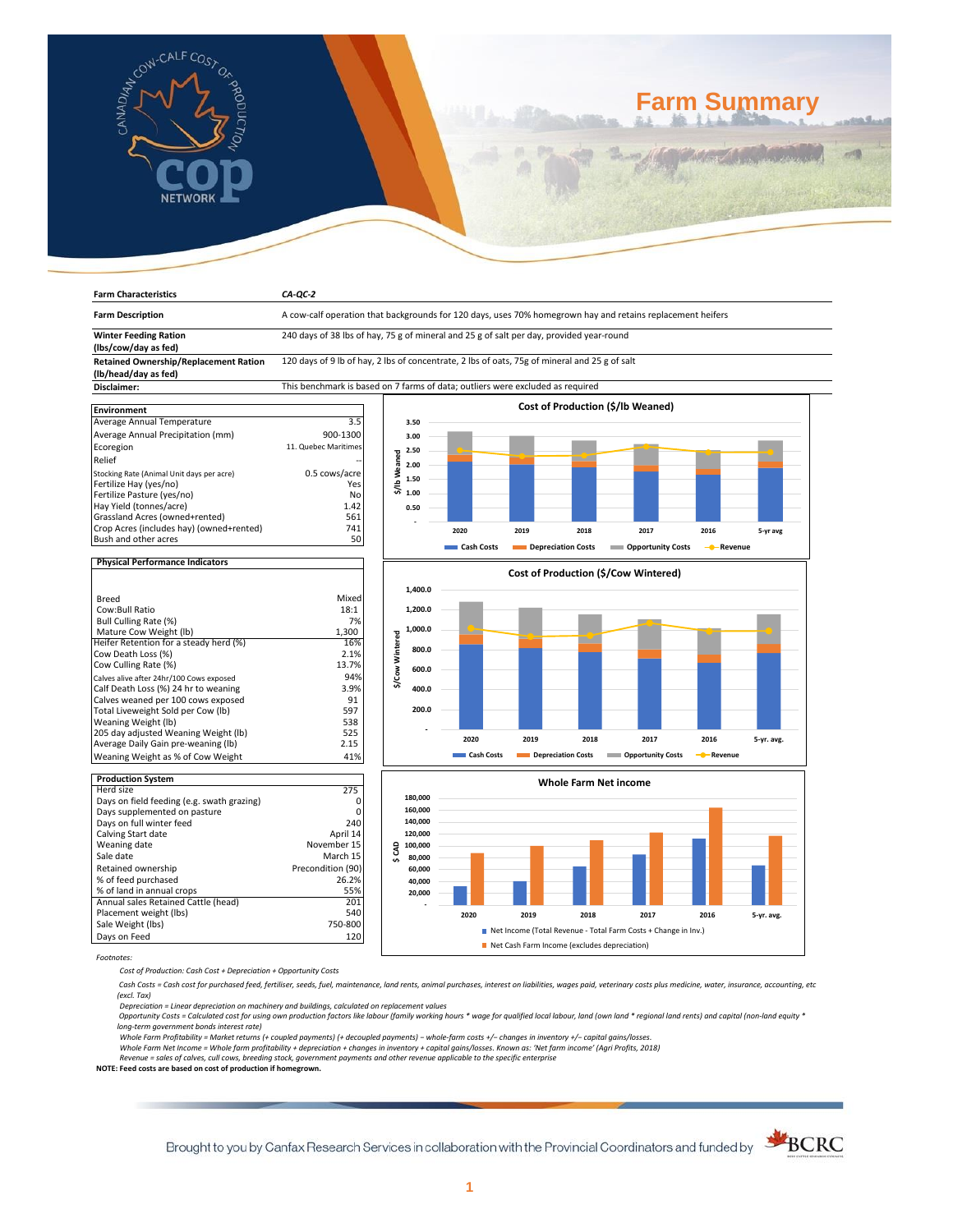

**Farm Characteristics** *CA-QC-2*

# **Farm Summary**

| <b>Farm Description</b>                              | A cow-calf operation that backgrounds for 120 days, uses 70% homegrown hay and retains replacement heifers |                      |            |                    |                    |                                      |           |            |
|------------------------------------------------------|------------------------------------------------------------------------------------------------------------|----------------------|------------|--------------------|--------------------|--------------------------------------|-----------|------------|
| <b>Winter Feeding Ration</b><br>(lbs/cow/day as fed) | 240 days of 38 lbs of hay, 75 g of mineral and 25 g of salt per day, provided year-round                   |                      |            |                    |                    |                                      |           |            |
| <b>Retained Ownership/Replacement Ration</b>         | 120 days of 9 lb of hay, 2 lbs of concentrate, 2 lbs of oats, 75g of mineral and 25 g of salt              |                      |            |                    |                    |                                      |           |            |
| (lb/head/day as fed)<br>Disclaimer:                  |                                                                                                            |                      |            |                    |                    |                                      |           |            |
|                                                      | This benchmark is based on 7 farms of data; outliers were excluded as required                             |                      |            |                    |                    |                                      |           |            |
|                                                      |                                                                                                            |                      |            |                    |                    | Cost of Production (\$/lb Weaned)    |           |            |
| <b>Environment</b><br>Average Annual Temperature     | 3.5                                                                                                        | 3.50                 |            |                    |                    |                                      |           |            |
|                                                      |                                                                                                            |                      |            |                    |                    |                                      |           |            |
| Average Annual Precipitation (mm)                    | 900-1300                                                                                                   | 3.00                 |            |                    |                    |                                      |           |            |
| Ecoregion                                            | 11. Quebec Maritimes                                                                                       | 2.50                 |            |                    |                    |                                      |           |            |
| Relief                                               |                                                                                                            | \$/lb Weaned<br>2.00 |            |                    |                    |                                      |           |            |
| Stocking Rate (Animal Unit days per acre)            | 0.5 cows/acre                                                                                              |                      |            |                    |                    |                                      |           |            |
| Fertilize Hay (yes/no)                               | Yes                                                                                                        | 1.50                 |            |                    |                    |                                      |           |            |
| Fertilize Pasture (yes/no)                           | No                                                                                                         | 1.00                 |            |                    |                    |                                      |           |            |
| Hay Yield (tonnes/acre)                              | 1.42                                                                                                       | 0.50                 |            |                    |                    |                                      |           |            |
| Grassland Acres (owned+rented)                       | 561                                                                                                        |                      |            |                    |                    |                                      |           |            |
| Crop Acres (includes hay) (owned+rented)             | 741                                                                                                        |                      | 2020       | 2019               | 2018               | 2017                                 | 2016      | 5-yr avg   |
| Bush and other acres                                 | 50                                                                                                         |                      |            |                    |                    |                                      |           |            |
|                                                      |                                                                                                            |                      | Cash Costs | Depreciation Costs |                    | <b>COPPORTUGITY COSTS</b>            | - Revenue |            |
| <b>Physical Performance Indicators</b>               |                                                                                                            |                      |            |                    |                    |                                      |           |            |
|                                                      |                                                                                                            |                      |            |                    |                    | Cost of Production (\$/Cow Wintered) |           |            |
|                                                      |                                                                                                            |                      |            |                    |                    |                                      |           |            |
| <b>Breed</b>                                         | Mixed                                                                                                      | 1,400.0              |            |                    |                    |                                      |           |            |
| Cow:Bull Ratio                                       | 18:1                                                                                                       | 1,200.0              |            |                    |                    |                                      |           |            |
| Bull Culling Rate (%)                                | 7%                                                                                                         |                      |            |                    |                    |                                      |           |            |
| Mature Cow Weight (lb)                               | 1,300                                                                                                      | 1,000.0              |            |                    |                    |                                      |           |            |
| Heifer Retention for a steady herd (%)               | 16%                                                                                                        | \$/Cow Wintered      |            |                    |                    |                                      |           |            |
| Cow Death Loss (%)                                   | 2.1%                                                                                                       | 800.0                |            |                    |                    |                                      |           |            |
| Cow Culling Rate (%)                                 | 13.7%                                                                                                      |                      |            |                    |                    |                                      |           |            |
|                                                      | 94%                                                                                                        | 600.0                |            |                    |                    |                                      |           |            |
| Calves alive after 24hr/100 Cows exposed             |                                                                                                            |                      |            |                    |                    |                                      |           |            |
| Calf Death Loss (%) 24 hr to weaning                 | 3.9%                                                                                                       | 400.0                |            |                    |                    |                                      |           |            |
| Calves weaned per 100 cows exposed                   | 91                                                                                                         | 200.0                |            |                    |                    |                                      |           |            |
| Total Liveweight Sold per Cow (lb)                   | 597                                                                                                        |                      |            |                    |                    |                                      |           |            |
| Weaning Weight (lb)                                  | 538<br>525                                                                                                 |                      |            |                    |                    |                                      |           |            |
| 205 day adjusted Weaning Weight (lb)                 |                                                                                                            |                      | 2020       | 2019               | 2018               | 2017                                 | 2016      | 5-yr. avg. |
| Average Daily Gain pre-weaning (lb)                  | 2.15                                                                                                       |                      |            |                    |                    |                                      |           |            |
| Weaning Weight as % of Cow Weight                    | 41%                                                                                                        |                      | Cash Costs |                    | Depreciation Costs | <b>COPPORTUGITY COSTS</b>            | - Revenue |            |
| <b>Production System</b>                             |                                                                                                            |                      |            |                    |                    |                                      |           |            |
| Herd size                                            | 275                                                                                                        |                      |            |                    |                    | <b>Whole Farm Net income</b>         |           |            |
| Days on field feeding (e.g. swath grazing)           | 0                                                                                                          | 180,000              |            |                    |                    |                                      |           |            |
| Days supplemented on pasture                         | $\Omega$                                                                                                   | 160,000              |            |                    |                    |                                      |           |            |
| Days on full winter feed                             | 240                                                                                                        | 140,000              |            |                    |                    |                                      |           |            |
| Calving Start date                                   | April 14                                                                                                   | 120,000              |            |                    |                    |                                      |           |            |
| Weaning date                                         | November 15                                                                                                | 100,000              |            |                    |                    |                                      |           |            |
| Sale date                                            | March 15                                                                                                   | \$CAD                |            |                    |                    |                                      |           |            |
|                                                      | Precondition (90)                                                                                          | 80,000               |            |                    |                    |                                      |           |            |
| Retained ownership                                   |                                                                                                            | 60,000               |            |                    |                    |                                      |           |            |
| % of feed purchased                                  | 26.2%                                                                                                      | 40,000               |            |                    |                    |                                      |           |            |
| % of land in annual crops                            | 55%                                                                                                        | 20,000               |            |                    |                    |                                      |           |            |
| Annual sales Retained Cattle (head)                  | 201                                                                                                        |                      |            |                    |                    |                                      |           |            |
| Placement weight (lbs)                               | 540                                                                                                        |                      | 2020       | 2019               | 2018               | 2017                                 | 2016      | 5-yr. avg. |

*Footnotes:*

*Cost of Production: Cash Cost + Depreciation + Opportunity Costs*

Sale Weight (lbs) 750-800 Days on Feed 120

 *Cash Costs = Cash cost for purchased feed, fertiliser, seeds, fuel, maintenance, land rents, animal purchases, interest on liabilities, wages paid, veterinary costs plus medicine, water, insurance, accounting, etc (excl. Tax)* 

**2020 2019 2018 2017 2016 5-yr. avg.**

■ Net Income (Total Revenue - Total Farm Costs + Change in Inv.) Net Cash Farm Income (excludes depreciation)

Depreciation = Linear depreciation on machinery and buildings, calculated on replacement values<br>Opportunity Costs = Calculated cost for using own production factors like labour (family working hours \* wage for qualified lo

*long-term government bonds interest rate)* 

Whole Farm Profitability = Market returns (+ coupled payments) (+ decoupled payments) – whole-farm costs +/– changes in inventory +/– capital gains/losses.<br>Whole Farm Net Income = Whole farm profitability + depreciation +

*Revenue = sales of calves, cull cows, breeding stock, government payments and other revenue applicable to the specific enterprise* **NOTE: Feed costs are based on cost of production if homegrown.**

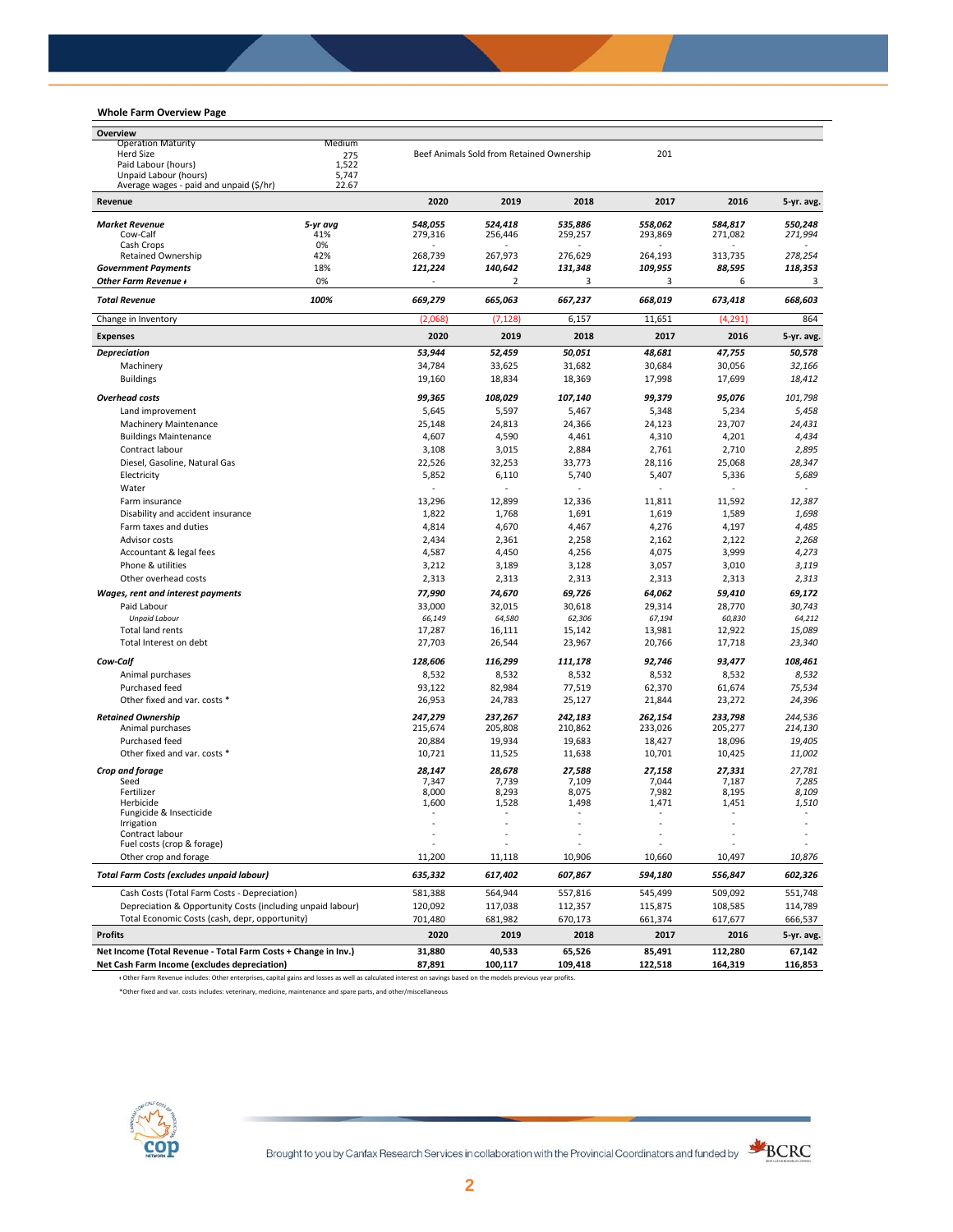# **Whole Farm Overview Page**

| Overview                                                       |              |                    |                                           |                    |                    |                   |                    |
|----------------------------------------------------------------|--------------|--------------------|-------------------------------------------|--------------------|--------------------|-------------------|--------------------|
| <b>Operation Maturity</b>                                      | Medium       |                    |                                           |                    |                    |                   |                    |
| Herd Size<br>Paid Labour (hours)                               | 275<br>1,522 |                    | Beef Animals Sold from Retained Ownership |                    | 201                |                   |                    |
| Unpaid Labour (hours)                                          | 5,747        |                    |                                           |                    |                    |                   |                    |
| Average wages - paid and unpaid (\$/hr)                        | 22.67        |                    |                                           |                    |                    |                   |                    |
| Revenue                                                        |              | 2020               | 2019                                      | 2018               | 2017               | 2016              | 5-yr. avg.         |
| <b>Market Revenue</b>                                          | 5-yr avg     | 548,055            | 524,418                                   | 535,886            | 558,062            | 584,817           | 550.248            |
| Cow-Calf                                                       | 41%          | 279,316            | 256,446                                   | 259,257            | 293,869            | 271,082           | 271,994            |
| Cash Crops                                                     | 0%           |                    |                                           |                    |                    |                   |                    |
| <b>Retained Ownership</b><br><b>Government Payments</b>        | 42%<br>18%   | 268,739<br>121,224 | 267,973<br>140,642                        | 276,629<br>131,348 | 264,193<br>109,955 | 313,735<br>88,595 | 278,254<br>118,353 |
| <b>Other Farm Revenue +</b>                                    | 0%           |                    | 2                                         | 3                  | 3                  | 6                 | 3                  |
| <b>Total Revenue</b>                                           | 100%         | 669,279            | 665,063                                   | 667,237            | 668,019            | 673,418           | 668,603            |
| Change in Inventory                                            |              | (2,068)            | (7, 128)                                  | 6,157              | 11,651             | (4, 291)          | 864                |
| <b>Expenses</b>                                                |              | 2020               | 2019                                      | 2018               | 2017               | 2016              | 5-yr. avg.         |
| <b>Depreciation</b>                                            |              | 53,944             | 52,459                                    | 50,051             | 48,681             | 47,755            | 50,578             |
| Machinery                                                      |              | 34,784             | 33,625                                    | 31,682             | 30,684             | 30,056            | 32,166             |
| <b>Buildings</b>                                               |              | 19,160             | 18,834                                    | 18,369             | 17,998             | 17,699            | 18,412             |
| <b>Overhead costs</b>                                          |              | 99,365             | 108,029                                   | 107,140            | 99,379             | 95,076            | 101,798            |
| Land improvement                                               |              | 5,645              | 5,597                                     | 5,467              | 5,348              | 5,234             | 5,458              |
| <b>Machinery Maintenance</b>                                   |              | 25,148             | 24,813                                    | 24,366             | 24,123             | 23,707            | 24,431             |
| <b>Buildings Maintenance</b>                                   |              | 4,607              | 4,590                                     | 4,461              | 4,310              | 4,201             | 4,434              |
| Contract labour                                                |              | 3,108              | 3,015                                     | 2,884              | 2,761              | 2,710             | 2,895              |
| Diesel, Gasoline, Natural Gas                                  |              | 22,526             | 32,253                                    | 33,773             | 28,116             | 25,068            | 28,347             |
| Electricity                                                    |              | 5,852              | 6,110                                     | 5,740              | 5,407              | 5,336             | 5,689              |
| Water                                                          |              | ä,                 |                                           |                    |                    | ÷,                |                    |
| Farm insurance                                                 |              | 13,296             | 12,899                                    | 12,336             | 11,811             | 11,592            | 12,387             |
| Disability and accident insurance                              |              | 1,822              | 1,768                                     | 1,691              | 1,619              | 1,589             | 1,698              |
| Farm taxes and duties                                          |              | 4,814              | 4,670                                     | 4,467              | 4,276              | 4,197             | 4,485              |
| Advisor costs                                                  |              | 2,434              | 2,361                                     | 2,258              | 2,162              | 2,122             | 2,268              |
| Accountant & legal fees                                        |              | 4,587              | 4,450                                     | 4,256              | 4,075              | 3,999             | 4,273              |
| Phone & utilities                                              |              | 3,212              | 3,189                                     | 3,128              | 3,057              | 3,010             | 3,119              |
| Other overhead costs                                           |              | 2,313              | 2,313                                     | 2,313              | 2,313              | 2,313             | 2,313              |
| Wages, rent and interest payments                              |              | 77,990             | 74,670                                    | 69,726             | 64,062             | 59,410            | 69,172             |
| Paid Labour                                                    |              | 33,000             | 32,015                                    | 30,618             | 29,314             | 28,770            | 30,743             |
| <b>Unpaid Labour</b>                                           |              | 66,149             | 64,580                                    | 62,306             | 67,194             | 60,830            | 64,212             |
| Total land rents                                               |              | 17,287             | 16,111                                    | 15,142             | 13,981             | 12,922            | 15,089             |
| Total Interest on debt                                         |              | 27,703             | 26,544                                    | 23,967             | 20,766             | 17,718            | 23,340             |
| Cow-Calf                                                       |              | 128,606            | 116,299                                   | 111,178            | 92,746             | 93,477            | 108,461            |
| Animal purchases                                               |              | 8,532              | 8,532                                     | 8,532              | 8,532              | 8,532             | 8,532              |
| Purchased feed                                                 |              | 93,122             | 82,984                                    | 77,519             | 62,370             | 61,674            | 75,534             |
| Other fixed and var. costs *                                   |              | 26,953             | 24,783                                    | 25,127             | 21,844             | 23,272            | 24,396             |
| <b>Retained Ownership</b>                                      |              | 247,279            | 237,267                                   | 242,183            | 262,154            | 233,798           | 244,536            |
| Animal purchases                                               |              | 215,674            | 205,808                                   | 210,862            | 233,026            | 205,277           | 214,130            |
| Purchased feed                                                 |              | 20,884             | 19,934                                    | 19,683             | 18,427             | 18,096            | 19,405             |
| Other fixed and var. costs *                                   |              | 10,721             | 11,525                                    | 11,638             | 10,701             | 10,425            | 11,002             |
| Crop and forage                                                |              | 28,147             | 28,678                                    | 27,588             | 27,158             | 27,331            | 27,781             |
| Seed                                                           |              | 7,347              | 7,739                                     | 7,109              | 7,044              | 7,187             | 7,285              |
| Fertilizer<br>Herbicide                                        |              | 8,000<br>1,600     | 8,293<br>1,528                            | 8,075<br>1,498     | 7,982<br>1,471     | 8,195<br>1,451    | 8,109<br>1,510     |
| Fungicide & Insecticide                                        |              | $\sim$             | ÷,                                        |                    | ÷,                 | ٠                 | $\sim$             |
| Irrigation                                                     |              |                    |                                           |                    |                    |                   |                    |
| Contract labour<br>Fuel costs (crop & forage)                  |              |                    |                                           |                    |                    |                   |                    |
| Other crop and forage                                          |              | 11,200             | 11,118                                    | 10,906             | 10,660             | 10,497            | 10,876             |
| Total Farm Costs (excludes unpaid labour)                      |              | 635,332            | 617,402                                   | 607,867            | 594,180            | 556,847           | 602,326            |
| Cash Costs (Total Farm Costs - Depreciation)                   |              | 581,388            | 564,944                                   | 557,816            | 545,499            | 509,092           | 551,748            |
| Depreciation & Opportunity Costs (including unpaid labour)     |              | 120,092            | 117,038                                   | 112,357            | 115,875            | 108,585           | 114,789            |
| Total Economic Costs (cash, depr, opportunity)                 |              | 701,480            | 681,982                                   | 670,173            | 661,374            | 617,677           | 666,537            |
| <b>Profits</b>                                                 |              | 2020               | 2019                                      | 2018               | 2017               | 2016              | 5-yr. avg.         |
| Net Income (Total Revenue - Total Farm Costs + Change in Inv.) |              | 31,880             | 40,533                                    | 65,526             | 85,491             | 112,280           | 67,142             |
| Net Cash Farm Income (excludes depreciation)                   |              | 87,891             | 100,117                                   | 109,418            | 122,518            | 164,319           | 116,853            |

ᵻ Other Farm Revenue includes: Other enterprises, capital gains and losses as well as calculated interest on savings based on the models previous year profits.

\*Other fixed and var. costs includes: veterinary, medicine, maintenance and spare parts, and other/miscellaneous



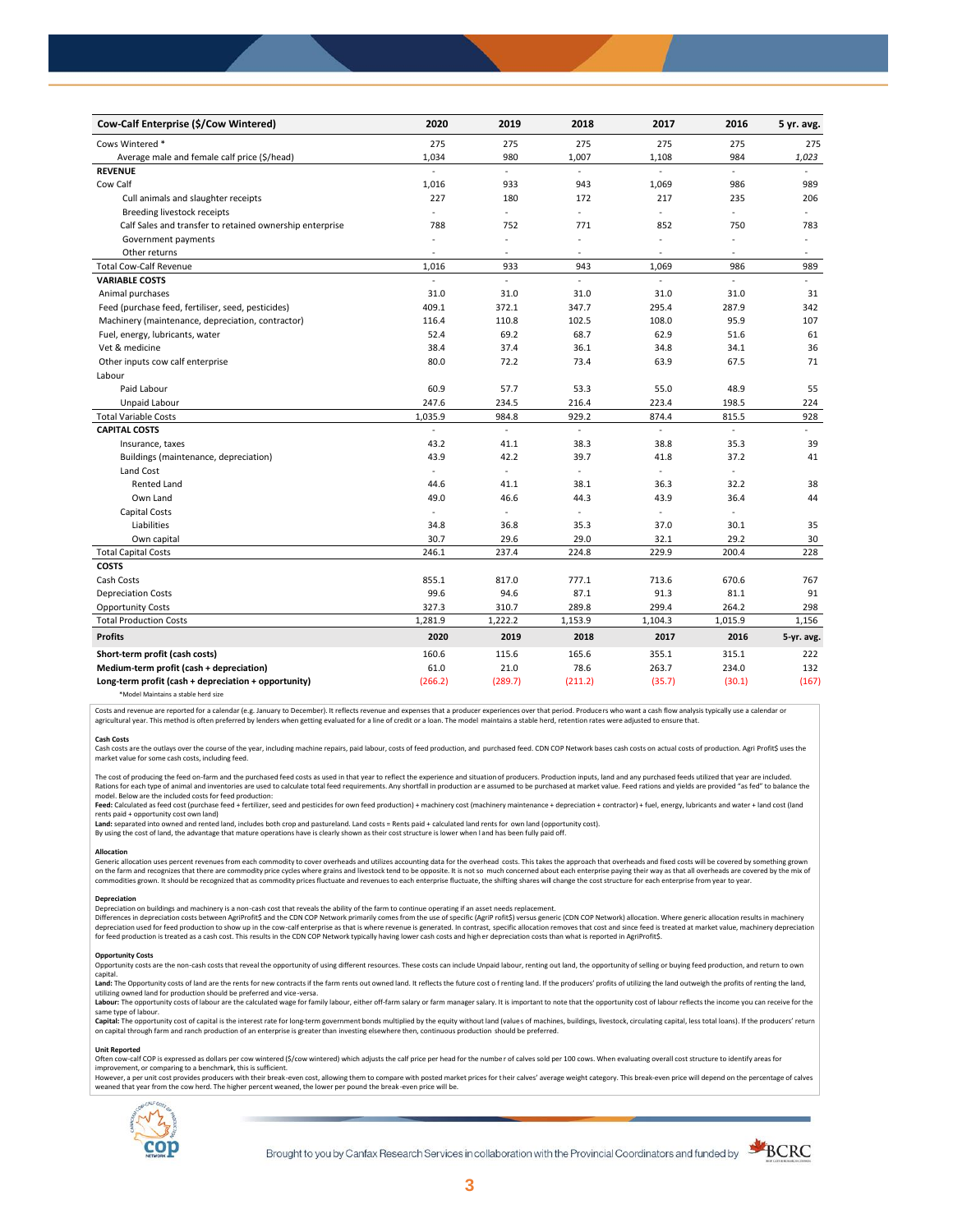| Cow-Calf Enterprise (\$/Cow Wintered)                    | 2020    | 2019          | 2018           | 2017                     | 2016                     | 5 yr. avg.     |
|----------------------------------------------------------|---------|---------------|----------------|--------------------------|--------------------------|----------------|
| Cows Wintered *                                          | 275     | 275           | 275            | 275                      | 275                      | 275            |
| Average male and female calf price (\$/head)             | 1,034   | 980           | 1,007          | 1,108                    | 984                      | 1,023          |
| <b>REVENUE</b>                                           |         | L.            |                |                          |                          |                |
| Cow Calf                                                 | 1,016   | 933           | 943            | 1,069                    | 986                      | 989            |
| Cull animals and slaughter receipts                      | 227     | 180           | 172            | 217                      | 235                      | 206            |
| Breeding livestock receipts                              | ÷,      | ÷,            | ÷.             | ÷,                       | ÷,                       | $\sim$         |
| Calf Sales and transfer to retained ownership enterprise | 788     | 752           | 771            | 852                      | 750                      | 783            |
| Government payments                                      | $\sim$  | ÷,            | $\overline{a}$ | $\sim$                   | ä,                       | $\sim$         |
| Other returns                                            | $\sim$  | ٠             | $\sim$         | $\overline{\phantom{a}}$ | $\sim$                   | $\sim$         |
| <b>Total Cow-Calf Revenue</b>                            | 1,016   | 933           | 943            | 1,069                    | 986                      | 989            |
| <b>VARIABLE COSTS</b>                                    | ÷,      | $\frac{1}{2}$ | L.             | $\blacksquare$           | $\overline{\phantom{a}}$ | $\blacksquare$ |
| Animal purchases                                         | 31.0    | 31.0          | 31.0           | 31.0                     | 31.0                     | 31             |
| Feed (purchase feed, fertiliser, seed, pesticides)       | 409.1   | 372.1         | 347.7          | 295.4                    | 287.9                    | 342            |
| Machinery (maintenance, depreciation, contractor)        | 116.4   | 110.8         | 102.5          | 108.0                    | 95.9                     | 107            |
| Fuel, energy, lubricants, water                          | 52.4    | 69.2          | 68.7           | 62.9                     | 51.6                     | 61             |
| Vet & medicine                                           | 38.4    | 37.4          | 36.1           | 34.8                     | 34.1                     | 36             |
| Other inputs cow calf enterprise                         | 80.0    | 72.2          | 73.4           | 63.9                     | 67.5                     | 71             |
| Labour                                                   |         |               |                |                          |                          |                |
| Paid Labour                                              | 60.9    | 57.7          | 53.3           | 55.0                     | 48.9                     | 55             |
| Unpaid Labour                                            | 247.6   | 234.5         | 216.4          | 223.4                    | 198.5                    | 224            |
| <b>Total Variable Costs</b>                              | 1,035.9 | 984.8         | 929.2          | 874.4                    | 815.5                    | 928            |
| <b>CAPITAL COSTS</b>                                     |         | L.            |                | L.                       | $\overline{a}$           |                |
| Insurance, taxes                                         | 43.2    | 41.1          | 38.3           | 38.8                     | 35.3                     | 39             |
| Buildings (maintenance, depreciation)                    | 43.9    | 42.2          | 39.7           | 41.8                     | 37.2                     | 41             |
| Land Cost                                                | ä,      | $\sim$        | ÷,             | ÷                        |                          |                |
| <b>Rented Land</b>                                       | 44.6    | 41.1          | 38.1           | 36.3                     | 32.2                     | 38             |
| Own Land                                                 | 49.0    | 46.6          | 44.3           | 43.9                     | 36.4                     | 44             |
| Capital Costs                                            |         | ÷,            |                | $\blacksquare$           | ÷.                       |                |
| Liabilities                                              | 34.8    | 36.8          | 35.3           | 37.0                     | 30.1                     | 35             |
| Own capital                                              | 30.7    | 29.6          | 29.0           | 32.1                     | 29.2                     | 30             |
| <b>Total Capital Costs</b>                               | 246.1   | 237.4         | 224.8          | 229.9                    | 200.4                    | 228            |
| <b>COSTS</b>                                             |         |               |                |                          |                          |                |
| Cash Costs                                               | 855.1   | 817.0         | 777.1          | 713.6                    | 670.6                    | 767            |
| <b>Depreciation Costs</b>                                | 99.6    | 94.6          | 87.1           | 91.3                     | 81.1                     | 91             |
| <b>Opportunity Costs</b>                                 | 327.3   | 310.7         | 289.8          | 299.4                    | 264.2                    | 298            |
| <b>Total Production Costs</b>                            | 1,281.9 | 1,222.2       | 1,153.9        | 1,104.3                  | 1,015.9                  | 1,156          |
| <b>Profits</b>                                           | 2020    | 2019          | 2018           | 2017                     | 2016                     | 5-yr. avg.     |
| Short-term profit (cash costs)                           | 160.6   | 115.6         | 165.6          | 355.1                    | 315.1                    | 222            |
| Medium-term profit (cash + depreciation)                 | 61.0    | 21.0          | 78.6           | 263.7                    | 234.0                    | 132            |
| Long-term profit (cash + depreciation + opportunity)     | (266.2) | (289.7)       | (211.2)        | (35.7)                   | (30.1)                   | (167)          |
|                                                          |         |               |                |                          |                          |                |

\*Model Maintains a stable herd size

Costs and revenue are reported for a calendar (e.g. January to December). It reflects revenue and expenses that a producer experiences over that period. Producers who want a cash flow analysis typically use a calendar or agricultural year. This method is often preferred by lenders when getting evaluated for a line of credit or a loan. The model maintains a stable herd, retention rates were adjusted to ensure that

C<mark>ash Costs</mark><br>Cash costs are the outlays over the course of the year, including machine repairs, paid labour, costs of feed production, and purchased feed. CDN COP Network bases cash costs on actual costs of production. Agr market value for some cash costs, including feed.

The cost of producing the feed on-farm and the purchased feed costs as used in that year to reflect the experience and situation of producers. Production inputs, land and any purchased feeds utilized that year are included model. Below are the included costs for feed production:

moder.outwhat was made used to receip would continuour.<br>**Feed:** Calculated as feed cost (purchase feed + fertilizer, seed and pesticides for own feed production) + machinery cost (machinery maintenance + depreciation + con rents paid + opportunity cost own land)

**Land:** separated into owned and rented land, includes both crop and pastureland. Land costs = Rents paid + calculated land rents for own land (opportunity cost).

By using the cost of land, the advantage that mature operations have is clearly shown as their cost structure is lower when l and has been fully paid off.

## **Allocation**

Generic allocation uses percent revenues from each commodity to cover overheads and utilizes accounting data for the overhead costs. This takes the approach that overheads and fixed costs will be covered by something grown commodities grown. It should be recognized that as commodity prices fluctuate and revenues to each enterprise fluctuate, the shifting shares will change the cost structure for each enterprise from year to year.

## **Depreciation**

Depreciation on buildings and machinery is a non-cash cost that reveals the ability of the farm to continue operating if an asset needs replacement. Differences in depreciation costs between AgriProfit\$ and the CDN COP Network primarily comes from the use of specific (AgriP rofit\$) versus generic (CDN COP Network) allocation. Where generic allocation results in machine

### **Opportunity Costs**

Provincing COSS are the non-cash costs that reveal the opportunity of using different resources. These costs can include Unpaid labour, renting out land, the opportunity of selling or buying feed production, and return to capital.

required.<br>Land: The Opportunity costs of land are the rents for new contracts if the farm rents out owned land. It reflects the future cost of renting land. If the producers' profits of utilizing the land outweigh the prof utilizing owned land for production should be preferred and vice-versa.<br>**Labour:** The opportunity costs of labour are the calculated wage for family labour, either off-farm salary or farm manager salary. It is important to

same type of labour.

**Capita**l: The opportunity cost of capital is the interest rate for long-term government bonds multiplied by the equity without land (values of machines, buildings, livestock, circulating capital, less total loans). If the

### **Unit Reported**

Often cow-calf COP is expressed as dollars per cow wintered (\$/cow wintered) which adjusts the calf price per head for the number of calves sold per 100 cows. When evaluating overall cost structure to identify areas for<br>im

however..export of the structure with the structure of the break-even cost. allowing them to compare with posted market prices for their calves' average weight category. This break-even price will depend on the percentage weaned that year from the cow herd. The higher percent weaned, the lower per pound the break -even price will be.



Brought to you by Canfax Research Services in collaboration with the Provincial Coordinators and funded by

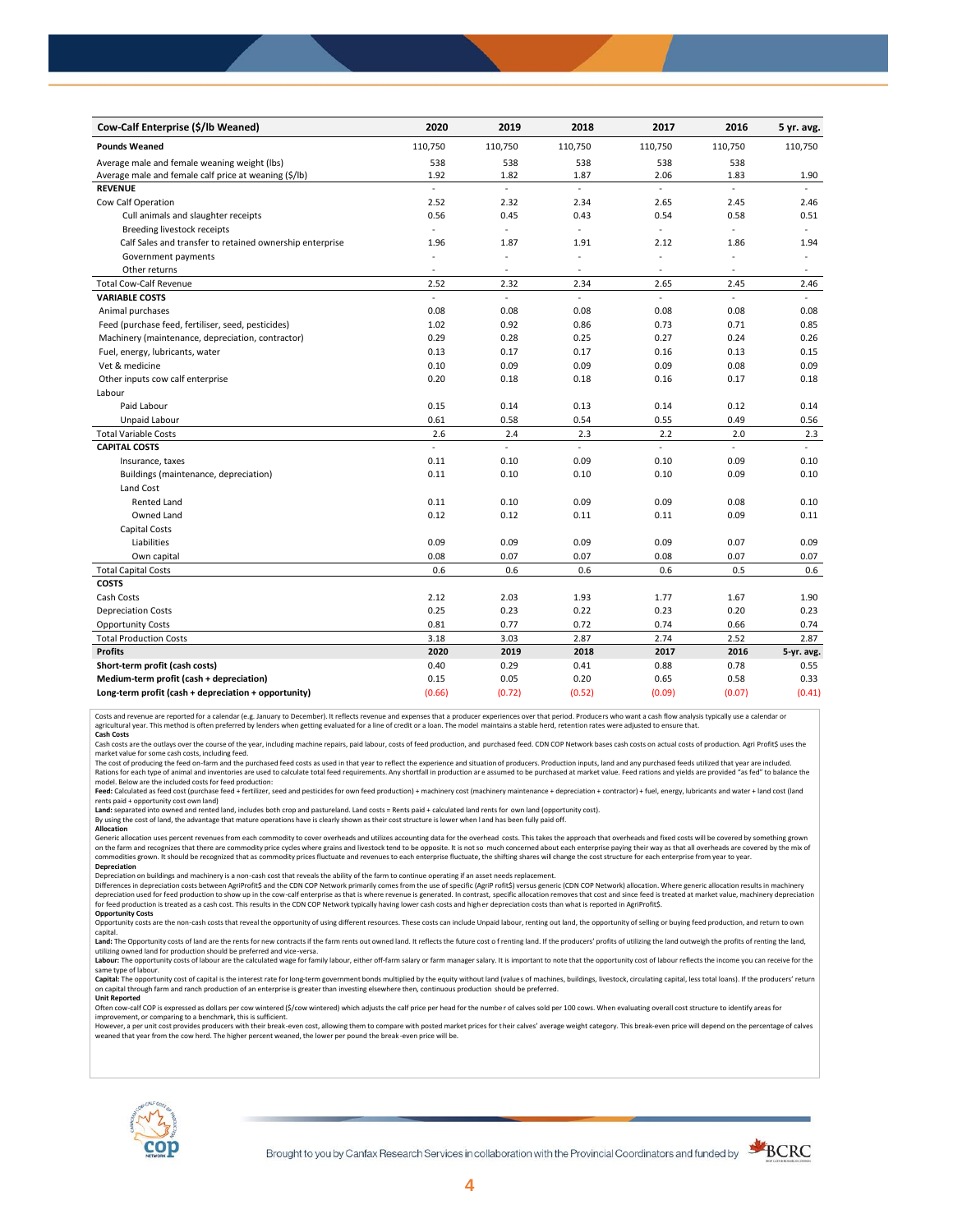| Cow-Calf Enterprise (\$/lb Weaned)                       | 2020          | 2019                     | 2018           | 2017           | 2016           | 5 yr. avg. |
|----------------------------------------------------------|---------------|--------------------------|----------------|----------------|----------------|------------|
| <b>Pounds Weaned</b>                                     | 110,750       | 110,750                  | 110,750        | 110,750        | 110,750        | 110,750    |
| Average male and female weaning weight (lbs)             | 538           | 538                      | 538            | 538            | 538            |            |
| Average male and female calf price at weaning (\$/lb)    | 1.92          | 1.82                     | 1.87           | 2.06           | 1.83           | 1.90       |
| <b>REVENUE</b>                                           | ä,            | L.                       | $\overline{a}$ | $\overline{a}$ | $\overline{a}$ |            |
| Cow Calf Operation                                       | 2.52          | 2.32                     | 2.34           | 2.65           | 2.45           | 2.46       |
| Cull animals and slaughter receipts                      | 0.56          | 0.45                     | 0.43           | 0.54           | 0.58           | 0.51       |
| Breeding livestock receipts                              | $\mathcal{L}$ | ä,                       | ÷.             | ä,             | ÷.             | ÷.         |
| Calf Sales and transfer to retained ownership enterprise | 1.96          | 1.87                     | 1.91           | 2.12           | 1.86           | 1.94       |
| Government payments                                      |               | ÷,                       | ä,             | ÷,             |                | $\bar{a}$  |
| Other returns                                            | $\sim$        | ٠                        | ٠              | $\sim$         | ٠              | $\sim$     |
| <b>Total Cow-Calf Revenue</b>                            | 2.52          | 2.32                     | 2.34           | 2.65           | 2.45           | 2.46       |
| <b>VARIABLE COSTS</b>                                    | $\sim$        | $\overline{\phantom{a}}$ | $\overline{a}$ | L.             | $\overline{a}$ |            |
| Animal purchases                                         | 0.08          | 0.08                     | 0.08           | 0.08           | 0.08           | 0.08       |
| Feed (purchase feed, fertiliser, seed, pesticides)       | 1.02          | 0.92                     | 0.86           | 0.73           | 0.71           | 0.85       |
| Machinery (maintenance, depreciation, contractor)        | 0.29          | 0.28                     | 0.25           | 0.27           | 0.24           | 0.26       |
| Fuel, energy, lubricants, water                          | 0.13          | 0.17                     | 0.17           | 0.16           | 0.13           | 0.15       |
| Vet & medicine                                           | 0.10          | 0.09                     | 0.09           | 0.09           | 0.08           | 0.09       |
| Other inputs cow calf enterprise                         | 0.20          | 0.18                     | 0.18           | 0.16           | 0.17           | 0.18       |
| Labour                                                   |               |                          |                |                |                |            |
| Paid Labour                                              | 0.15          | 0.14                     | 0.13           | 0.14           | 0.12           | 0.14       |
| Unpaid Labour                                            | 0.61          | 0.58                     | 0.54           | 0.55           | 0.49           | 0.56       |
| <b>Total Variable Costs</b>                              | 2.6           | 2.4                      | 2.3            | 2.2            | 2.0            | 2.3        |
| <b>CAPITAL COSTS</b>                                     | ä,            | L,                       | L.             | L.             | $\mathcal{L}$  | $\omega$ . |
| Insurance, taxes                                         | 0.11          | 0.10                     | 0.09           | 0.10           | 0.09           | 0.10       |
| Buildings (maintenance, depreciation)                    | 0.11          | 0.10                     | 0.10           | 0.10           | 0.09           | 0.10       |
| Land Cost                                                |               |                          |                |                |                |            |
| <b>Rented Land</b>                                       | 0.11          | 0.10                     | 0.09           | 0.09           | 0.08           | 0.10       |
| Owned Land                                               | 0.12          | 0.12                     | 0.11           | 0.11           | 0.09           | 0.11       |
| Capital Costs                                            |               |                          |                |                |                |            |
| Liabilities                                              | 0.09          | 0.09                     | 0.09           | 0.09           | 0.07           | 0.09       |
| Own capital                                              | 0.08          | 0.07                     | 0.07           | 0.08           | 0.07           | 0.07       |
| <b>Total Capital Costs</b>                               | 0.6           | 0.6                      | 0.6            | 0.6            | 0.5            | 0.6        |
| <b>COSTS</b>                                             |               |                          |                |                |                |            |
| Cash Costs                                               | 2.12          | 2.03                     | 1.93           | 1.77           | 1.67           | 1.90       |
| <b>Depreciation Costs</b>                                | 0.25          | 0.23                     | 0.22           | 0.23           | 0.20           | 0.23       |
| <b>Opportunity Costs</b>                                 | 0.81          | 0.77                     | 0.72           | 0.74           | 0.66           | 0.74       |
| <b>Total Production Costs</b>                            | 3.18          | 3.03                     | 2.87           | 2.74           | 2.52           | 2.87       |
| <b>Profits</b>                                           | 2020          | 2019                     | 2018           | 2017           | 2016           | 5-yr. avg. |
| Short-term profit (cash costs)                           | 0.40          | 0.29                     | 0.41           | 0.88           | 0.78           | 0.55       |
| Medium-term profit (cash + depreciation)                 | 0.15          | 0.05                     | 0.20           | 0.65           | 0.58           | 0.33       |
| Long-term profit (cash + depreciation + opportunity)     | (0.66)        | (0.72)                   | (0.52)         | (0.09)         | (0.07)         | (0.41)     |

Costs and revenue are reported for a calendar (e.g. January to December). It reflects revenue and expenses that a producer experiences over that period. Producers who want a cash flow analysis typically use a calendar or<br>a

cash costs are the outlays over the course of the year, including machine repairs, paid labour, costs of feed production, and purchased feed. CDN COP Network bases cash costs on actual costs of production. Agri Profit\$ use

market value for some cash costs, including feed.

The cost of producing the feed on-farm and the purchased feed costs as used in that year to reflect the experience and situation of producers. Production inputs, land and any purchased feeds utilized that year are included model. Below are the included costs for feed production:

Feed: Calculated as feed cost (purchase feed + fertilizer, seed and pesticides for own feed production) + machinery cost (machinery maintenance + depreciation + contractor) + fuel, energy, lubricants and water + land cost

Land: separated into owned and rented land, includes both crop and pastureland. Land costs = Rents paid + calculated land rents for own land (opportunity cost).

By using the cost of land, the advantage that mature operations have is clearly shown as their cost structure is lower when l and has been fully paid off.

## **Allocation**

Generic allocation uses percent revenues from each commodity to cover overheads and utilizes accounting data for the overhead costs. This takes the approach that overheads and fixed costs will be covered by something grown on the farm and recognizes that there are commodity price cycles where grains and livestock tend to be opposite. It is not so much concerned about each enterprise paying their way as that all overheads are covered by the m **Depreciation**

Depreciation on buildings and machinery is a non-cash cost that reveals the ability of the farm to continue operating if an asset needs replacement.

Differences in depreciation costs between AgriProfit\$ and the CDN COP Network primarily comes from the use of specific (AgriP rofit\$) versus generic (CDN COP Network) allocation. Where generic allocation results in machine

## **Opportunity Costs**

Opportunity costs are the non-cash costs that reveal the opportunity of using different resources. These costs can include Unpaid labour, renting out land, the opportunity of selling or buying feed production, and return t Land: The Opportunity costs of land are the rents for new contracts if the farm rents out owned land. It reflects the future cost of renting land. If the producers' profits of utilizing the land outweigh the profits of ren

utilizing owned land for production should be preferred and vice-versa.<br>**Labour:** The opportunity costs of labour are the calculated wage for family labour, either off-farm salary or farm manager salary. It is important to same type of labour.

Capital: The opportunity cost of capital is the interest rate for long-term government bonds multiplied by the equity without land (values of machines, buildings, livestock, circulating capital, less total loans). If the p on capital through farm and ranch production of an enterprise is greater than investing elsewhere then, continuous production should be preferred. **Unit Reported**

Often cow-calf COP is expressed as dollars per cow wintered (\$/cow wintered) which adjusts the calf price per head for the numbe r of calves sold per 100 cows. When evaluating overall cost structure to identify areas for

improvement, or comparing to a benchmark, this is sufficient.<br>However, a per unit cost provides producers with their break-even cost, allowing them to compare with posted market prices for their calves' average weight cate weaned that year from the cow herd. The higher percent weaned, the lower per pound the break -even price will be.



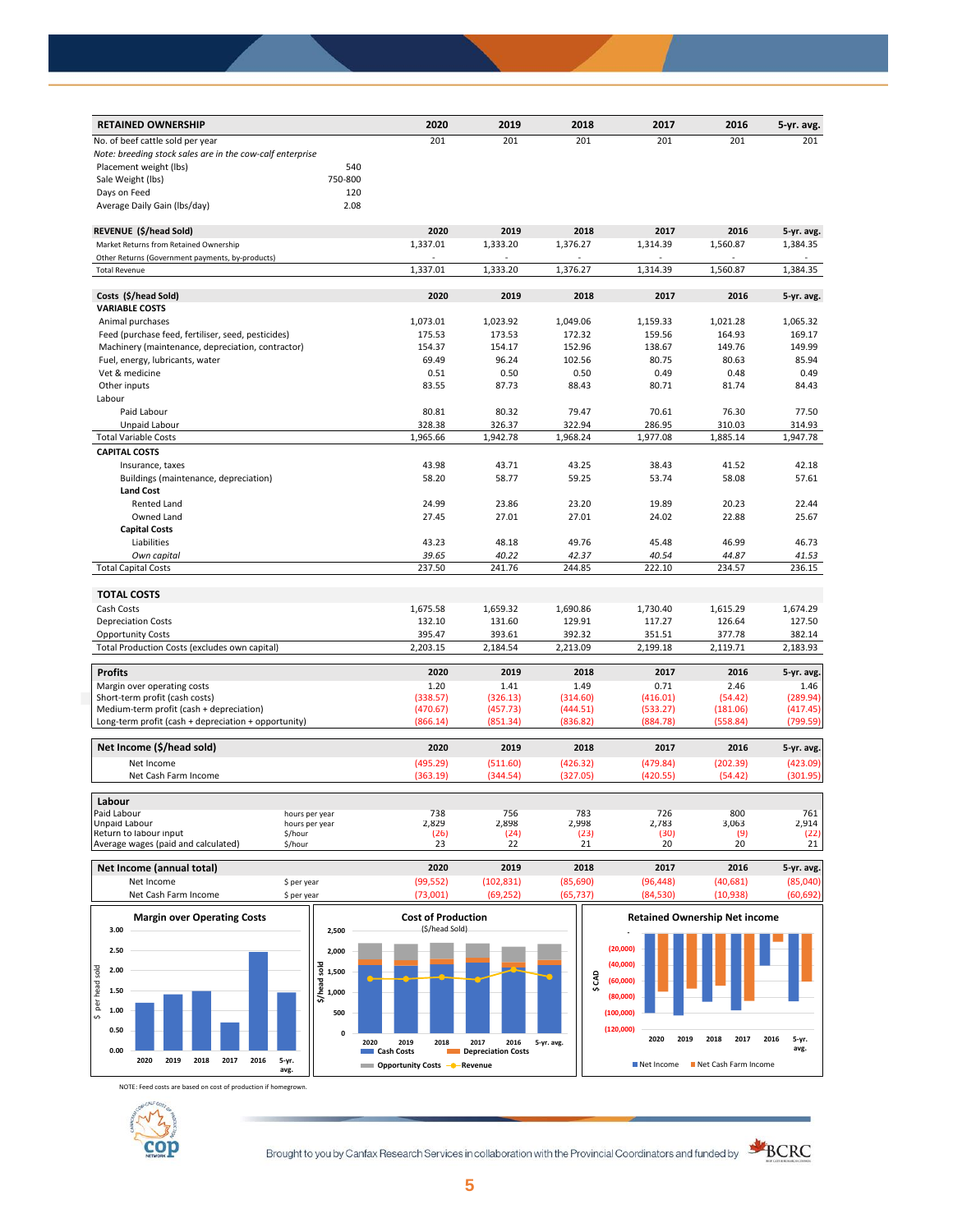| <b>RETAINED OWNERSHIP</b>                                 |         | 2020     | 2019     | 2018     | 2017               | 2016               | 5-yr. avg.         |
|-----------------------------------------------------------|---------|----------|----------|----------|--------------------|--------------------|--------------------|
| No. of beef cattle sold per year                          |         | 201      | 201      | 201      | 201                | 201                | 201                |
| Note: breeding stock sales are in the cow-calf enterprise |         |          |          |          |                    |                    |                    |
| Placement weight (lbs)                                    | 540     |          |          |          |                    |                    |                    |
| Sale Weight (lbs)                                         | 750-800 |          |          |          |                    |                    |                    |
| Days on Feed                                              | 120     |          |          |          |                    |                    |                    |
| Average Daily Gain (Ibs/day)                              | 2.08    |          |          |          |                    |                    |                    |
| REVENUE (\$/head Sold)                                    |         | 2020     | 2019     | 2018     | 2017               | 2016               | 5-yr. avg.         |
| Market Returns from Retained Ownership                    |         | 1,337.01 | 1,333.20 | 1,376.27 | 1,314.39           | 1,560.87           | 1,384.35           |
| Other Returns (Government payments, by-products)          |         |          |          |          |                    |                    |                    |
| <b>Total Revenue</b>                                      |         | 1,337.01 | 1,333.20 | 1,376.27 | 1,314.39           | 1,560.87           | 1,384.35           |
| Costs (\$/head Sold)                                      |         | 2020     | 2019     | 2018     | 2017               | 2016               | 5-yr. avg.         |
| <b>VARIABLE COSTS</b>                                     |         |          |          |          |                    |                    |                    |
| Animal purchases                                          |         | 1,073.01 | 1,023.92 | 1,049.06 | 1,159.33           | 1,021.28           | 1,065.32           |
| Feed (purchase feed, fertiliser, seed, pesticides)        |         | 175.53   | 173.53   | 172.32   | 159.56             | 164.93             | 169.17             |
| Machinery (maintenance, depreciation, contractor)         |         | 154.37   | 154.17   | 152.96   | 138.67             | 149.76             | 149.99             |
| Fuel, energy, lubricants, water                           |         | 69.49    | 96.24    | 102.56   | 80.75              | 80.63              | 85.94              |
| Vet & medicine                                            |         | 0.51     | 0.50     | 0.50     | 0.49               | 0.48               | 0.49               |
| Other inputs                                              |         | 83.55    | 87.73    | 88.43    | 80.71              | 81.74              | 84.43              |
| Labour                                                    |         |          |          |          |                    |                    |                    |
| Paid Labour                                               |         | 80.81    | 80.32    | 79.47    | 70.61              | 76.30              | 77.50              |
| Unpaid Labour                                             |         |          |          | 322.94   |                    |                    |                    |
| <b>Total Variable Costs</b>                               |         | 328.38   | 326.37   |          | 286.95<br>1,977.08 | 310.03<br>1,885.14 | 314.93<br>1,947.78 |
|                                                           |         | 1,965.66 | 1,942.78 | 1,968.24 |                    |                    |                    |
| <b>CAPITAL COSTS</b>                                      |         |          |          |          |                    |                    |                    |
| Insurance, taxes                                          |         | 43.98    | 43.71    | 43.25    | 38.43              | 41.52              | 42.18              |
| Buildings (maintenance, depreciation)                     |         | 58.20    | 58.77    | 59.25    | 53.74              | 58.08              | 57.61              |
| <b>Land Cost</b>                                          |         |          |          |          |                    |                    |                    |
| Rented Land                                               |         | 24.99    | 23.86    | 23.20    | 19.89              | 20.23              | 22.44              |
| Owned Land                                                |         | 27.45    | 27.01    | 27.01    | 24.02              | 22.88              | 25.67              |
| <b>Capital Costs</b>                                      |         |          |          |          |                    |                    |                    |
| Liabilities                                               |         | 43.23    | 48.18    | 49.76    | 45.48              | 46.99              | 46.73              |
| Own capital                                               |         | 39.65    | 40.22    | 42.37    | 40.54              | 44.87              | 41.53              |
| <b>Total Capital Costs</b>                                |         | 237.50   | 241.76   | 244.85   | 222.10             | 234.57             | 236.15             |
| <b>TOTAL COSTS</b>                                        |         |          |          |          |                    |                    |                    |
| Cash Costs                                                |         | 1,675.58 | 1,659.32 | 1,690.86 | 1,730.40           | 1,615.29           | 1,674.29           |
| <b>Depreciation Costs</b>                                 |         | 132.10   | 131.60   | 129.91   | 117.27             | 126.64             | 127.50             |
| <b>Opportunity Costs</b>                                  |         | 395.47   | 393.61   | 392.32   | 351.51             | 377.78             | 382.14             |
| Total Production Costs (excludes own capital)             |         | 2,203.15 | 2,184.54 | 2,213.09 | 2,199.18           | 2,119.71           | 2,183.93           |
| <b>Profits</b>                                            |         | 2020     | 2019     | 2018     | 2017               | 2016               | 5-yr. avg.         |
| Margin over operating costs                               |         | 1.20     | 1.41     | 1.49     | 0.71               | 2.46               | 1.46               |
| Short-term profit (cash costs)                            |         | (338.57) | (326.13) | (314.60) | (416.01)           | (54.42)            | (289.94)           |
| Medium-term profit (cash + depreciation)                  |         | (470.67) | (457.73) | (444.51) | (533.27)           | (181.06)           | (417.45)           |
| Long-term profit (cash + depreciation + opportunity)      |         | (866.14) | (851.34) | (836.82) | (884.78)           | (558.84)           | (799.59)           |
| Net Income (\$/head sold)                                 |         | 2020     | 2019     | 2018     | 2017               | 2016               | 5-yr. avg.         |
| Net Income                                                |         | (495.29) | (511.60) | (426.32) | (479.84)           | (202.39)           | (423.09)           |
| Net Cash Farm Income                                      |         | (363.19) | (344.54) | (327.05) | (420.55)           | (54.42)            | (301.95)           |
| Labour                                                    |         |          |          |          |                    |                    |                    |
| <b>Paid Labour</b>                                        |         | 738      | 756      | 783      | 726                | 800                | 761                |
| hours per year<br><b>Unpaid Labour</b><br>hours per year  |         | 2,829    | 2,898    | 2,998    | 2,783              | 3,063              | 2,914              |
| Return to labour input<br>\$/hour                         |         | (26)     | (24)     | (23)     | (30)               | (9)                | (22)               |
| Average wages (paid and calculated)<br>\$/hour            |         | 23       | 22       | 21       | 20                 | 20                 | 21                 |

| <b>Margin over Operating Costs</b><br>3.00 | 2.500       | <b>Cost of Production</b><br>(\$/head Sold) |            |          |           | <b>Retained Ownership Net income</b> |            |
|--------------------------------------------|-------------|---------------------------------------------|------------|----------|-----------|--------------------------------------|------------|
| Net Cash Farm Income                       | S per vear  | 73.001)                                     | (69.252)   | (65.737) | (84, 530) | (10.938)                             | (60, 692)  |
| Net Income                                 | \$ per year | (99, 552)                                   | (102, 831) | (85,690) | (96, 448) | (40, 681)                            | (85,040)   |
| Net Income (annual total)                  |             | 2020                                        | 2019       | 2018     | 2017      | 2016                                 | 5-yr. avg. |



NOTE: Feed costs are based on cost of production if homegrown.



Brought to you by Canfax Research Services in collaboration with the Provincial Coordinators and funded by  $\frac{\triangle}{\triangle BCRC}$